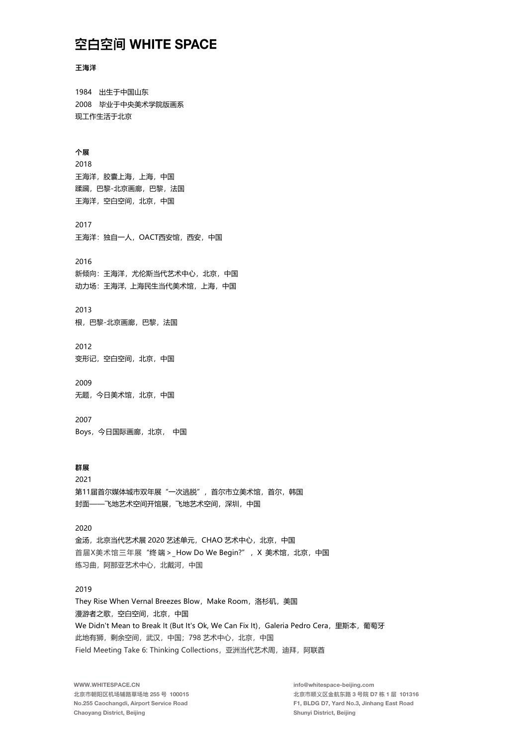#### 王海洋

1984 出生于中国山东 2008 毕业于中央美术学院版画系 现工作生活于北京

#### 个展

2018 王海洋,胶囊上海,上海,中国 蹂躏,巴黎-北京画廊,巴黎,法国 王海洋,空白空间,北京,中国

## 2017

王海洋:独自一人,OACT西安馆,西安,中国

#### 2016

新倾向:王海洋,尤伦斯当代艺术中心,北京,中国 动力场:王海洋, 上海民生当代美术馆,上海,中国

2013

根,巴黎-北京画廊,巴黎,法国

## 2012

变形记,空白空间,北京,中国

## 2009 无题,今日美术馆,北京,中国

2007 Boys,今日国际画廊,北京, 中国

## 群展

2021 第11届首尔媒体城市双年展"一次逃脱",首尔市立美术馆,首尔,韩国 封面——飞地艺术空间开馆展,飞地艺术空间,深圳,中国

## 2020

金汤,北京当代艺术展 2020 艺述单元,CHAO 艺术中心,北京,中国 首届X美术馆三年展"终端 >\_How Do We Begin?", X 美术馆, 北京, 中国 练习曲, 阿那亚艺术中心, 北戴河, 中国

## 2019

They Rise When Vernal Breezes Blow, Make Room, 洛杉矶, 美国 漫游者之歌,空白空间,北京,中国 We Didn't Mean to Break It (But It's Ok, We Can Fix It), Galeria Pedro Cera, 里斯本, 葡萄牙 此地有狮,剩余空间,武汉,中国;798 艺术中心,北京,中国 Field Meeting Take 6: Thinking Collections, 亚洲当代艺术周, 迪拜, 阿联酋

WWW.WHITESPACE.CN 北京市朝阳区机场辅路草场地 255 号 100015 No.255 Caochangdi, Airport Service Road Chaoyang District, Beijing

info@whitespace-beijing.com 北京市顺义区⾦航东路 3 号院 D7 栋 1 层 101316 F1, BLDG D7, Yard No.3, Jinhang East Road Shunyi District, Beijing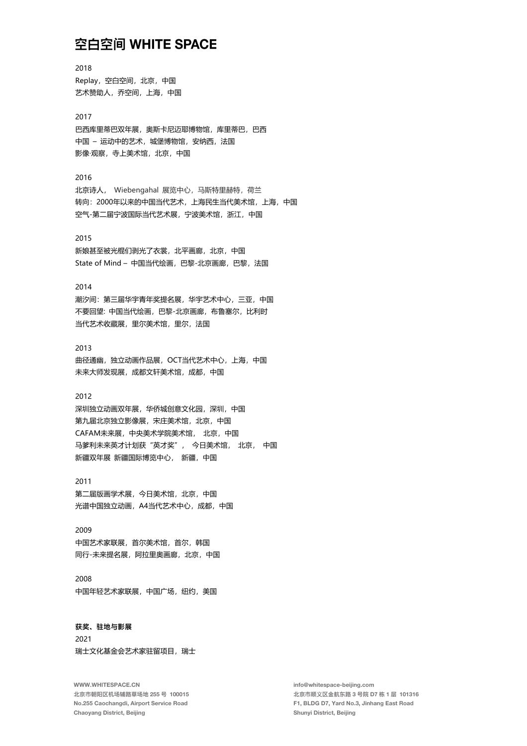2018 Replay,空白空间,北京,中国 艺术赞助人,乔空间,上海,中国

#### 2017

巴西库里蒂巴双年展,奥斯卡尼迈耶博物馆,库里蒂巴,巴西 中国 - 运动中的艺术, 城堡博物馆, 安纳西, 法国 影像·观察,寺上美术馆,北京,中国

#### 2016

北京诗人, Wiebengahal 展览中心,马斯特里赫特,荷兰 转向:2000年以来的中国当代艺术,上海民生当代美术馆,上海,中国 空气-第二届宁波国际当代艺术展,宁波美术馆,浙江,中国

#### 2015

新娘甚至被光棍们剥光了衣裳, 北平画廊, 北京, 中国 State of Mind - 中国当代绘画, 巴黎-北京画廊, 巴黎, 法国

## 2014

潮汐间:第三届华宇青年奖提名展,华宇艺术中心,三亚,中国 不要回望: 中国当代绘画,巴黎-北京画廊,布鲁塞尔,比利时 当代艺术收藏展,里尔美术馆,里尔,法国

#### 2013

曲径通幽,独立动画作品展,OCT当代艺术中心,上海,中国 未来大师发现展,成都文轩美术馆,成都,中国

#### 2012

深圳独立动画双年展,华侨城创意文化园,深圳,中国 第九届北京独立影像展,宋庄美术馆,北京,中国 CAFAM未来展,中央美术学院美术馆, 北京,中国 马爹利未来英才计划获"英才奖", 今日美术馆, 北京, 中国 新疆双年展 新疆国际博览中心, 新疆,中国

#### 2011

第二届版画学术展,今日美术馆,北京,中国 光谱中国独立动画, A4当代艺术中心, 成都, 中国

## 2009

中国艺术家联展,首尔美术馆,首尔,韩国 同行-未来提名展,阿拉里奥画廊,北京,中国

## 2008

中国年轻艺术家联展,中国广场,纽约,美国

# 获奖、驻地与影展

2021 瑞士文化基金会艺术家驻留项目,瑞士

WWW.WHITESPACE.CN 北京市朝阳区机场辅路草场地 255 号 100015 No.255 Caochangdi, Airport Service Road Chaoyang District, Beijing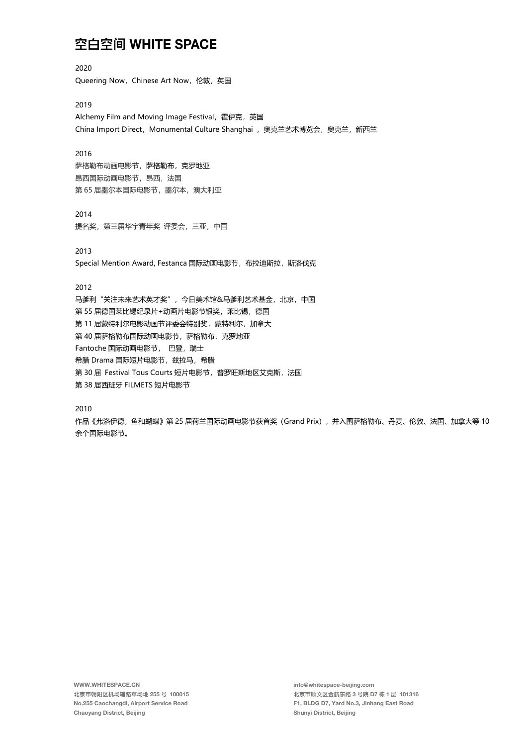2020 Queering Now, Chinese Art Now, 伦敦, 英国

2019 Alchemy Film and Moving Image Festival, 霍伊克, 英国 China Import Direct, Monumental Culture Shanghai , 奥克兰艺术博览会, 奥克兰, 新西兰

## 2016

萨格勒布动画电影节,萨格勒布,克罗地亚 昂西国际动画电影节,昂西,法国 第 65 届墨尔本国际电影节,墨尔本,澳大利亚

## 2014

提名奖,第三届华宇青年奖评委会,三亚,中国

2013 Special Mention Award, Festanca 国际动画电影节, 布拉迪斯拉, 斯洛伐克

## 2012

马爹利"关注未来艺术英才奖",今日美术馆&马爹利艺术基金,北京,中国 第 55 届德国莱比锡纪录片+动画片电影节银奖,莱比锡,德国 第 11 届蒙特利尔电影动画节评委会特别奖, 蒙特利尔, 加拿大 第 40 届萨格勒布国际动画电影节, 萨格勒布, 克罗地亚 Fantoche 国际动画电影节, 巴登,瑞士 希腊 Drama 国际短片电影节,兹拉马,希腊 第 30 届 Festival Tous Courts 短片电影节,普罗旺斯地区艾克斯,法国 第 38 届西班牙 FILMETS 短片电影节

2010

作品《弗洛伊德,鱼和蝴蝶》第 25 届荷兰国际动画电影节获首奖 (Grand Prix), 并入围萨格勒布、丹麦、伦敦、法国、加拿大等 10 余个国际电影节。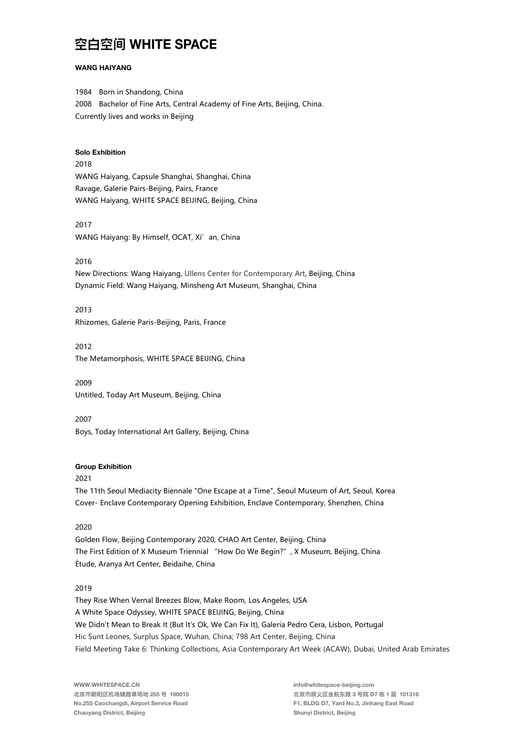#### **WANG HAIYANG**

1984 Born in Shandong, China 2008 Bachelor of Fine Arts, Central Academy of Fine Arts, Beijing, China. Currently lives and works in Beijing

## Solo Exhibition

2018 WANG Haiyang, Capsule Shanghai, Shanghai, China Ravage, Galerie Pairs-Beijing, Pairs, France WANG Haiyang, WHITE SPACE BEIJING, Beijing, China

2017 WANG Haiyang: By Himself, OCAT, Xi' an, China

#### 2016

New Directions: Wang Haiyang, Ullens Center for Contemporary Art, Beijing, China Dynamic Field: Wang Haiyang, Minsheng Art Museum, Shanghai, China

2013 Rhizomes, Galerie Paris-Beijing, Paris, France

2012 The Metamorphosis, WHITE SPACE BEIJING, China

2009 Untitled, Today Art Museum, Beijing, China

2007 Boys, Today International Art Gallery, Beijing, China

#### **Group Exhibition**

2021

The 11th Seoul Mediacity Biennale "One Escape at a Time", Seoul Museum of Art, Seoul, Korea Cover- Enclave Contemporary Opening Exhibition, Enclave Contemporary, Shenzhen, China

## 2020

Golden Flow, Beijing Contemporary 2020, CHAO Art Center, Beijing, China The First Edition of X Museum Triennial "How Do We Begin?", X Museum, Beijing, China Étude, Aranya Art Center, Beidaihe, China

### 2019

They Rise When Vernal Breezes Blow, Make Room, Los Angeles, USA A White Space Odyssey, WHITE SPACE BEIJING, Beijing, China We Didn't Mean to Break It (But It's Ok, We Can Fix It), Galeria Pedro Cera, Lisbon, Portugal Hic Sunt Leones, Surplus Space, Wuhan, China; 798 Art Center, Beijing, China Field Meeting Take 6: Thinking Collections, Asia Contemporary Art Week (ACAW), Dubai, United Arab Emirates

WWW.WHITESPACE.CN 北京市朝阳区机场辅路草场地 255 号 100015 No.255 Caochangdi, Airport Service Road Chaoyang District, Beijing

info@whitespace-beijing.com 北京市顺义区⾦航东路 3 号院 D7 栋 1 层 101316 F1, BLDG D7, Yard No.3, Jinhang East Road Shunyi District, Beijing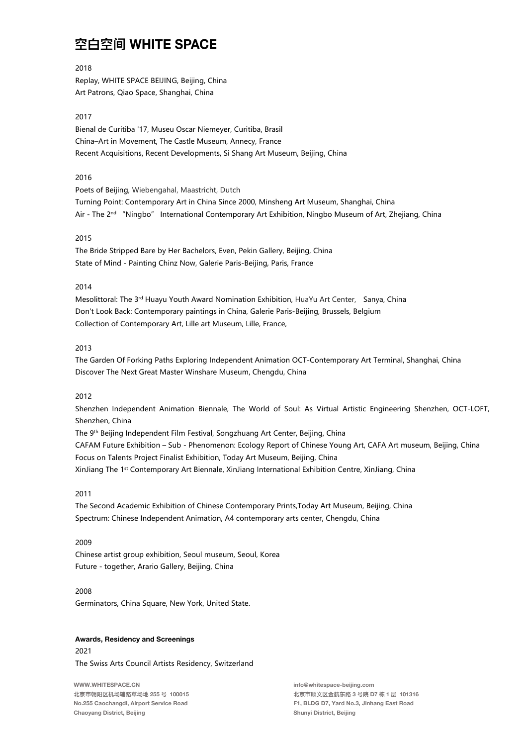2018 Replay, WHITE SPACE BEIJING, Beijing, China Art Patrons, Qiao Space, Shanghai, China

### 2017

Bienal de Curitiba '17, Museu Oscar Niemeyer, Curitiba, Brasil China–Art in Movement, The Castle Museum, Annecy, France Recent Acquisitions, Recent Developments, Si Shang Art Museum, Beijing, China

#### 2016

Poets of Beijing, Wiebengahal, Maastricht, Dutch Turning Point: Contemporary Art in China Since 2000, Minsheng Art Museum, Shanghai, China Air - The 2nd "Ningbo" International Contemporary Art Exhibition, Ningbo Museum of Art, Zhejiang, China

### 2015

The Bride Stripped Bare by Her Bachelors, Even, Pekin Gallery, Beijing, China State of Mind - Painting Chinz Now, Galerie Paris-Beijing, Paris, France

## 2014

Mesolittoral: The 3rd Huayu Youth Award Nomination Exhibition, HuaYu Art Center, Sanya, China Don't Look Back: Contemporary paintings in China, Galerie Paris-Beijing, Brussels, Belgium Collection of Contemporary Art, Lille art Museum, Lille, France,

### 2013

The Garden Of Forking Paths Exploring Independent Animation OCT-Contemporary Art Terminal, Shanghai, China Discover The Next Great Master Winshare Museum, Chengdu, China

#### 2012

Shenzhen Independent Animation Biennale, The World of Soul: As Virtual Artistic Engineering Shenzhen, OCT-LOFT, Shenzhen, China

The 9th Beijing Independent Film Festival, Songzhuang Art Center, Beijing, China CAFAM Future Exhibition – Sub - Phenomenon: Ecology Report of Chinese Young Art, CAFA Art museum, Beijing, China Focus on Talents Project Finalist Exhibition, Today Art Museum, Beijing, China XinJiang The 1st Contemporary Art Biennale, XinJiang International Exhibition Centre, XinJiang, China

## 2011

The Second Academic Exhibition of Chinese Contemporary Prints,Today Art Museum, Beijing, China Spectrum: Chinese Independent Animation, A4 contemporary arts center, Chengdu, China

#### 2009

Chinese artist group exhibition, Seoul museum, Seoul, Korea Future - together, Arario Gallery, Beijing, China

#### 2008

Germinators, China Square, New York, United State.

## Awards, Residency and Screenings

2021 The Swiss Arts Council Artists Residency, Switzerland

WWW.WHITESPACE.CN 北京市朝阳区机场辅路草场地 255 号 100015 No.255 Caochangdi, Airport Service Road Chaoyang District, Beijing

info@whitespace-beijing.com 北京市顺义区⾦航东路 3 号院 D7 栋 1 层 101316 F1, BLDG D7, Yard No.3, Jinhang East Road Shunyi District, Beijing